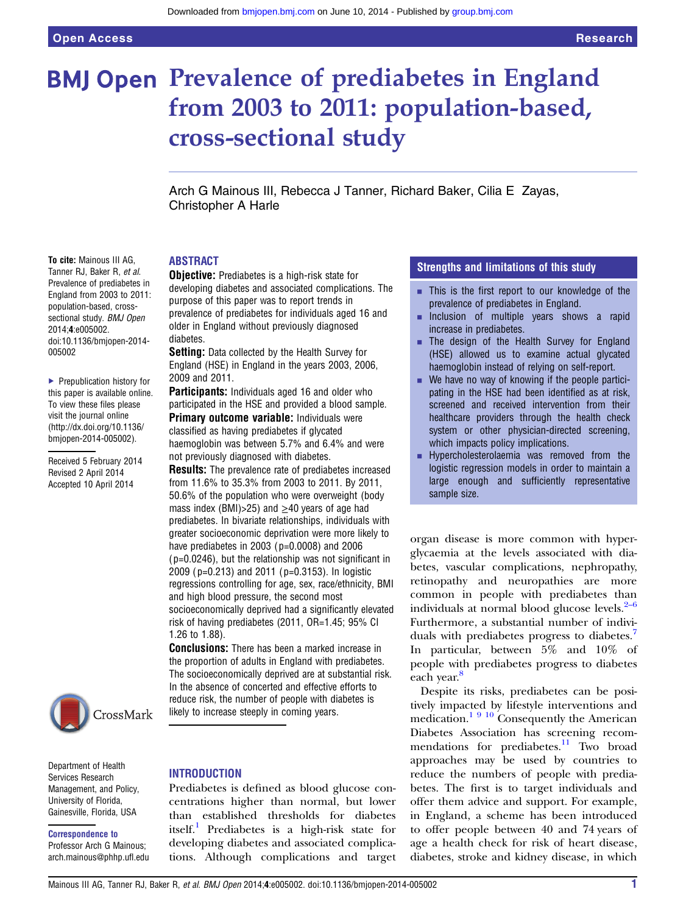To cite: Mainous III AG, Tanner RJ, Baker R, et al. Prevalence of prediabetes in England from 2003 to 2011: population-based, crosssectional study. **BMJ Open** 2014;4:e005002.

doi:10.1136/bmjopen-2014-

▶ Prepublication history for this paper is available online. To view these files please visit the journal online [\(http://dx.doi.org/10.1136/](http://dx.doi.org/10.1136/bmjopen-2014-005002) [bmjopen-2014-005002](http://dx.doi.org/10.1136/bmjopen-2014-005002)). Received 5 February 2014 Revised 2 April 2014 Accepted 10 April 2014

005002

# **BMJ Open Prevalence of prediabetes in England** from 2003 to 2011: population-based, cross-sectional study

Arch G Mainous III, Rebecca J Tanner, Richard Baker, Cilia E Zayas, Christopher A Harle

#### ABSTRACT

**Objective:** Prediabetes is a high-risk state for developing diabetes and associated complications. The purpose of this paper was to report trends in prevalence of prediabetes for individuals aged 16 and older in England without previously diagnosed diabetes.

**Setting:** Data collected by the Health Survey for England (HSE) in England in the years 2003, 2006, 2009 and 2011.

**Participants:** Individuals aged 16 and older who participated in the HSE and provided a blood sample. **Primary outcome variable:** Individuals were classified as having prediabetes if glycated haemoglobin was between 5.7% and 6.4% and were not previously diagnosed with diabetes.

Results: The prevalence rate of prediabetes increased from 11.6% to 35.3% from 2003 to 2011. By 2011, 50.6% of the population who were overweight (body mass index (BMI)>25) and  $\geq$ 40 years of age had prediabetes. In bivariate relationships, individuals with greater socioeconomic deprivation were more likely to have prediabetes in 2003 ( p=0.0008) and 2006 ( p=0.0246), but the relationship was not significant in 2009 ( p=0.213) and 2011 ( p=0.3153). In logistic regressions controlling for age, sex, race/ethnicity, BMI and high blood pressure, the second most socioeconomically deprived had a significantly elevated risk of having prediabetes (2011, OR=1.45; 95% CI 1.26 to 1.88).

Conclusions: There has been a marked increase in the proportion of adults in England with prediabetes. The socioeconomically deprived are at substantial risk. In the absence of concerted and effective efforts to reduce risk, the number of people with diabetes is likely to increase steeply in coming years.



Department of Health Services Research Management, and Policy, University of Florida, Gainesville, Florida, USA

Correspondence to Professor Arch G Mainous; arch.mainous@phhp.ufl.edu

#### **INTRODUCTION**

Prediabetes is defined as blood glucose concentrations higher than normal, but lower than established thresholds for diabetes itself.<sup>[1](#page-6-0)</sup> Prediabetes is a high-risk state for developing diabetes and associated complications. Although complications and target

## Strengths and limitations of this study

- This is the first report to our knowledge of the prevalence of prediabetes in England.
- $\blacksquare$  Inclusion of multiple years shows a rapid increase in prediabetes.
- **The design of the Health Survey for England** (HSE) allowed us to examine actual glycated haemoglobin instead of relying on self-report.
- $\blacksquare$  We have no way of knowing if the people participating in the HSE had been identified as at risk, screened and received intervention from their healthcare providers through the health check system or other physician-directed screening, which impacts policy implications.
- Hypercholesterolaemia was removed from the logistic regression models in order to maintain a large enough and sufficiently representative sample size.

organ disease is more common with hyperglycaemia at the levels associated with diabetes, vascular complications, nephropathy, retinopathy and neuropathies are more common in people with prediabetes than individuals at normal blood glucose levels. $2-6$  $2-6$ Furthermore, a substantial number of indivi-duals with prediabetes progress to diabetes.<sup>[7](#page-6-0)</sup> In particular, between 5% and 10% of people with prediabetes progress to diabetes each year.<sup>[8](#page-6-0)</sup>

Despite its risks, prediabetes can be positively impacted by lifestyle interventions and medication.<sup>[1 9 10](#page-6-0)</sup> Consequently the American Diabetes Association has screening recom-mendations for prediabetes.<sup>[11](#page-6-0)</sup> Two broad approaches may be used by countries to reduce the numbers of people with prediabetes. The first is to target individuals and offer them advice and support. For example, in England, a scheme has been introduced to offer people between 40 and 74 years of age a health check for risk of heart disease, diabetes, stroke and kidney disease, in which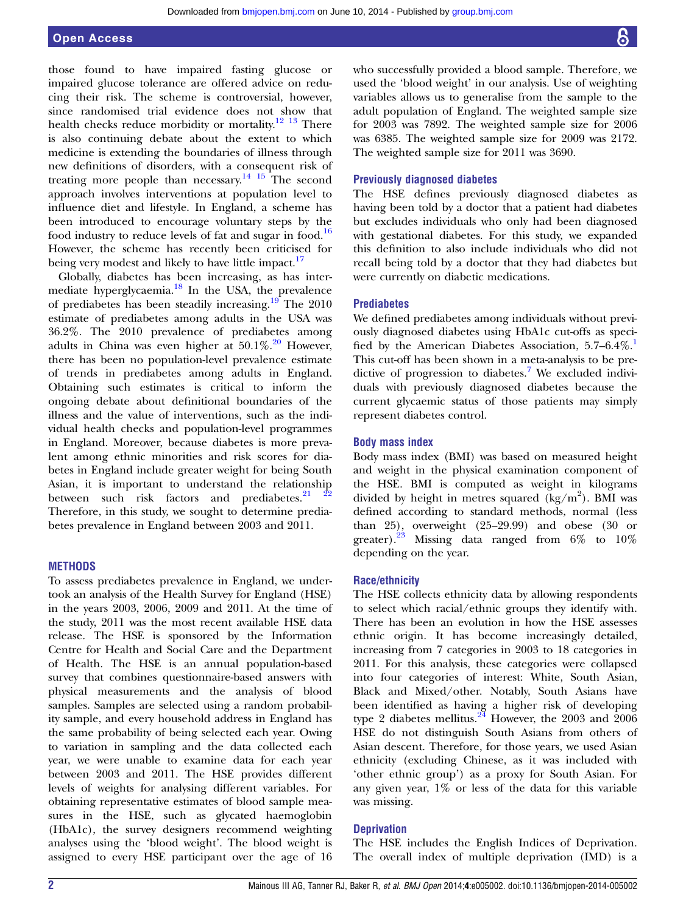those found to have impaired fasting glucose or impaired glucose tolerance are offered advice on reducing their risk. The scheme is controversial, however, since randomised trial evidence does not show that health checks reduce morbidity or mortality.<sup>12</sup> <sup>13</sup> There is also continuing debate about the extent to which medicine is extending the boundaries of illness through new definitions of disorders, with a consequent risk of treating more people than necessary.<sup>[14 15](#page-6-0)</sup> The second approach involves interventions at population level to influence diet and lifestyle. In England, a scheme has been introduced to encourage voluntary steps by the food industry to reduce levels of fat and sugar in food.<sup>[16](#page-6-0)</sup> However, the scheme has recently been criticised for being very modest and likely to have little impact.<sup>[17](#page-6-0)</sup>

Globally, diabetes has been increasing, as has inter-mediate hyperglycaemia.<sup>[18](#page-6-0)</sup> In the USA, the prevalence of prediabetes has been steadily increasing.[19](#page-6-0) The 2010 estimate of prediabetes among adults in the USA was 36.2%. The 2010 prevalence of prediabetes among adults in China was even higher at  $50.1\%$ .<sup>[20](#page-6-0)</sup> However, there has been no population-level prevalence estimate of trends in prediabetes among adults in England. Obtaining such estimates is critical to inform the ongoing debate about definitional boundaries of the illness and the value of interventions, such as the individual health checks and population-level programmes in England. Moreover, because diabetes is more prevalent among ethnic minorities and risk scores for diabetes in England include greater weight for being South Asian, it is important to understand the relationship between such risk factors and prediabetes. $21$ Therefore, in this study, we sought to determine prediabetes prevalence in England between 2003 and 2011.

#### **METHODS**

To assess prediabetes prevalence in England, we undertook an analysis of the Health Survey for England (HSE) in the years 2003, 2006, 2009 and 2011. At the time of the study, 2011 was the most recent available HSE data release. The HSE is sponsored by the Information Centre for Health and Social Care and the Department of Health. The HSE is an annual population-based survey that combines questionnaire-based answers with physical measurements and the analysis of blood samples. Samples are selected using a random probability sample, and every household address in England has the same probability of being selected each year. Owing to variation in sampling and the data collected each year, we were unable to examine data for each year between 2003 and 2011. The HSE provides different levels of weights for analysing different variables. For obtaining representative estimates of blood sample measures in the HSE, such as glycated haemoglobin (HbA1c), the survey designers recommend weighting analyses using the 'blood weight'. The blood weight is assigned to every HSE participant over the age of 16 who successfully provided a blood sample. Therefore, we used the 'blood weight' in our analysis. Use of weighting variables allows us to generalise from the sample to the adult population of England. The weighted sample size for 2003 was 7892. The weighted sample size for 2006 was 6385. The weighted sample size for 2009 was 2172. The weighted sample size for 2011 was 3690.

#### Previously diagnosed diabetes

The HSE defines previously diagnosed diabetes as having been told by a doctor that a patient had diabetes but excludes individuals who only had been diagnosed with gestational diabetes. For this study, we expanded this definition to also include individuals who did not recall being told by a doctor that they had diabetes but were currently on diabetic medications.

#### **Prediabetes**

We defined prediabetes among individuals without previously diagnosed diabetes using HbA1c cut-offs as speci-fied by the American Diabetes Association, 5.7–6.4%.<sup>[1](#page-6-0)</sup> This cut-off has been shown in a meta-analysis to be pre-dictive of progression to diabetes.<sup>[7](#page-6-0)</sup> We excluded individuals with previously diagnosed diabetes because the current glycaemic status of those patients may simply represent diabetes control.

#### Body mass index

Body mass index (BMI) was based on measured height and weight in the physical examination component of the HSE. BMI is computed as weight in kilograms divided by height in metres squared  $(\text{kg}/\text{m}^2)$ . BMI was defined according to standard methods, normal (less than 25), overweight (25–29.99) and obese (30 or greater).<sup>[23](#page-7-0)</sup> Missing data ranged from  $6\%$  to  $10\%$ depending on the year.

#### Race/ethnicity

The HSE collects ethnicity data by allowing respondents to select which racial/ethnic groups they identify with. There has been an evolution in how the HSE assesses ethnic origin. It has become increasingly detailed, increasing from 7 categories in 2003 to 18 categories in 2011. For this analysis, these categories were collapsed into four categories of interest: White, South Asian, Black and Mixed/other. Notably, South Asians have been identified as having a higher risk of developing type 2 diabetes mellitus.<sup>24</sup> However, the 2003 and  $200\overline{6}$ HSE do not distinguish South Asians from others of Asian descent. Therefore, for those years, we used Asian ethnicity (excluding Chinese, as it was included with 'other ethnic group') as a proxy for South Asian. For any given year, 1% or less of the data for this variable was missing.

#### **Deprivation**

The HSE includes the English Indices of Deprivation. The overall index of multiple deprivation (IMD) is a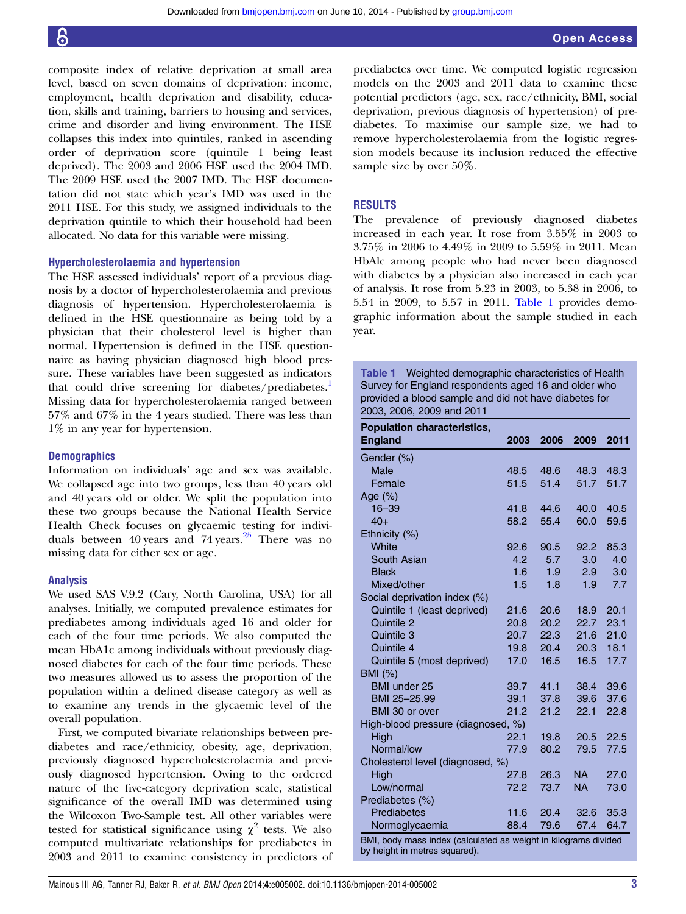composite index of relative deprivation at small area level, based on seven domains of deprivation: income, employment, health deprivation and disability, education, skills and training, barriers to housing and services, crime and disorder and living environment. The HSE collapses this index into quintiles, ranked in ascending order of deprivation score (quintile 1 being least deprived). The 2003 and 2006 HSE used the 2004 IMD. The 2009 HSE used the 2007 IMD. The HSE documentation did not state which year's IMD was used in the 2011 HSE. For this study, we assigned individuals to the deprivation quintile to which their household had been allocated. No data for this variable were missing.

#### Hypercholesterolaemia and hypertension

The HSE assessed individuals' report of a previous diagnosis by a doctor of hypercholesterolaemia and previous diagnosis of hypertension. Hypercholesterolaemia is defined in the HSE questionnaire as being told by a physician that their cholesterol level is higher than normal. Hypertension is defined in the HSE questionnaire as having physician diagnosed high blood pressure. These variables have been suggested as indicators that could drive screening for diabetes/prediabetes.<sup>[1](#page-6-0)</sup> Missing data for hypercholesterolaemia ranged between 57% and 67% in the 4 years studied. There was less than 1% in any year for hypertension.

### **Demographics**

Information on individuals' age and sex was available. We collapsed age into two groups, less than 40 years old and 40 years old or older. We split the population into these two groups because the National Health Service Health Check focuses on glycaemic testing for indivi-duals between 40 years and 74 years.<sup>[25](#page-7-0)</sup> There was no missing data for either sex or age.

#### Analysis

We used SAS V.9.2 (Cary, North Carolina, USA) for all analyses. Initially, we computed prevalence estimates for prediabetes among individuals aged 16 and older for each of the four time periods. We also computed the mean HbA1c among individuals without previously diagnosed diabetes for each of the four time periods. These two measures allowed us to assess the proportion of the population within a defined disease category as well as to examine any trends in the glycaemic level of the overall population.

First, we computed bivariate relationships between prediabetes and race/ethnicity, obesity, age, deprivation, previously diagnosed hypercholesterolaemia and previously diagnosed hypertension. Owing to the ordered nature of the five-category deprivation scale, statistical significance of the overall IMD was determined using the Wilcoxon Two-Sample test. All other variables were tested for statistical significance using  $\chi^2$  tests. We also computed multivariate relationships for prediabetes in 2003 and 2011 to examine consistency in predictors of

prediabetes over time. We computed logistic regression models on the 2003 and 2011 data to examine these potential predictors (age, sex, race/ethnicity, BMI, social deprivation, previous diagnosis of hypertension) of prediabetes. To maximise our sample size, we had to remove hypercholesterolaemia from the logistic regression models because its inclusion reduced the effective sample size by over 50%.

## RESULTS

The prevalence of previously diagnosed diabetes increased in each year. It rose from 3.55% in 2003 to 3.75% in 2006 to 4.49% in 2009 to 5.59% in 2011. Mean HbAlc among people who had never been diagnosed with diabetes by a physician also increased in each year of analysis. It rose from 5.23 in 2003, to 5.38 in 2006, to 5.54 in 2009, to 5.57 in 2011. Table 1 provides demographic information about the sample studied in each year.

Table 1 Weighted demographic characteristics of Health Survey for England respondents aged 16 and older who provided a blood sample and did not have diabetes for 2003, 2006, 2009 and 2011

| <b>Population characteristics,</b>                                                               |      |      |           |      |  |
|--------------------------------------------------------------------------------------------------|------|------|-----------|------|--|
| <b>England</b>                                                                                   | 2003 | 2006 | 2009      | 2011 |  |
| Gender (%)                                                                                       |      |      |           |      |  |
| Male                                                                                             | 48.5 | 48.6 | 48.3      | 48.3 |  |
| Female                                                                                           | 51.5 | 51.4 | 51.7      | 51.7 |  |
| Age (%)                                                                                          |      |      |           |      |  |
| $16 - 39$                                                                                        | 41.8 | 44.6 | 40.0      | 40.5 |  |
| $40+$                                                                                            | 58.2 | 55.4 | 60.0      | 59.5 |  |
| Ethnicity (%)                                                                                    |      |      |           |      |  |
| White                                                                                            | 92.6 | 90.5 | 92.2      | 85.3 |  |
| South Asian                                                                                      | 4.2  | 5.7  | 3.0       | 4.0  |  |
| <b>Black</b>                                                                                     | 1.6  | 1.9  | 2.9       | 3.0  |  |
| Mixed/other                                                                                      | 1.5  | 1.8  | 1.9       | 7.7  |  |
| Social deprivation index (%)                                                                     |      |      |           |      |  |
| Quintile 1 (least deprived)                                                                      | 21.6 | 20.6 | 18.9      | 20.1 |  |
| Quintile 2                                                                                       | 20.8 | 20.2 | 22.7      | 23.1 |  |
| Quintile 3                                                                                       | 20.7 | 22.3 | 21.6      | 21.0 |  |
| Quintile 4                                                                                       | 19.8 | 20.4 | 20.3      | 18.1 |  |
| Quintile 5 (most deprived)                                                                       | 17.0 | 16.5 | 16.5      | 17.7 |  |
| <b>BMI</b> (%)                                                                                   |      |      |           |      |  |
| <b>BMI</b> under 25                                                                              | 39.7 | 41.1 | 38.4      | 39.6 |  |
| BMI 25-25.99                                                                                     | 39.1 | 37.8 | 39.6      | 37.6 |  |
| BMI 30 or over                                                                                   | 21.2 | 21.2 | 22.1      | 22.8 |  |
| High-blood pressure (diagnosed, %)                                                               |      |      |           |      |  |
| High                                                                                             | 22.1 | 19.8 | 20.5      | 22.5 |  |
| Normal/low                                                                                       | 77.9 | 80.2 | 79.5      | 77.5 |  |
| Cholesterol level (diagnosed, %)                                                                 |      |      |           |      |  |
| High                                                                                             | 27.8 | 26.3 | <b>NA</b> | 27.0 |  |
| Low/normal                                                                                       | 72.2 | 73.7 | <b>NA</b> | 73.0 |  |
| Prediabetes (%)                                                                                  |      |      |           |      |  |
| Prediabetes                                                                                      | 11.6 | 20.4 | 32.6      | 35.3 |  |
| Normoglycaemia                                                                                   | 88.4 | 79.6 | 67.4      | 64.7 |  |
| BMI, body mass index (calculated as weight in kilograms divided<br>by height in metres squared). |      |      |           |      |  |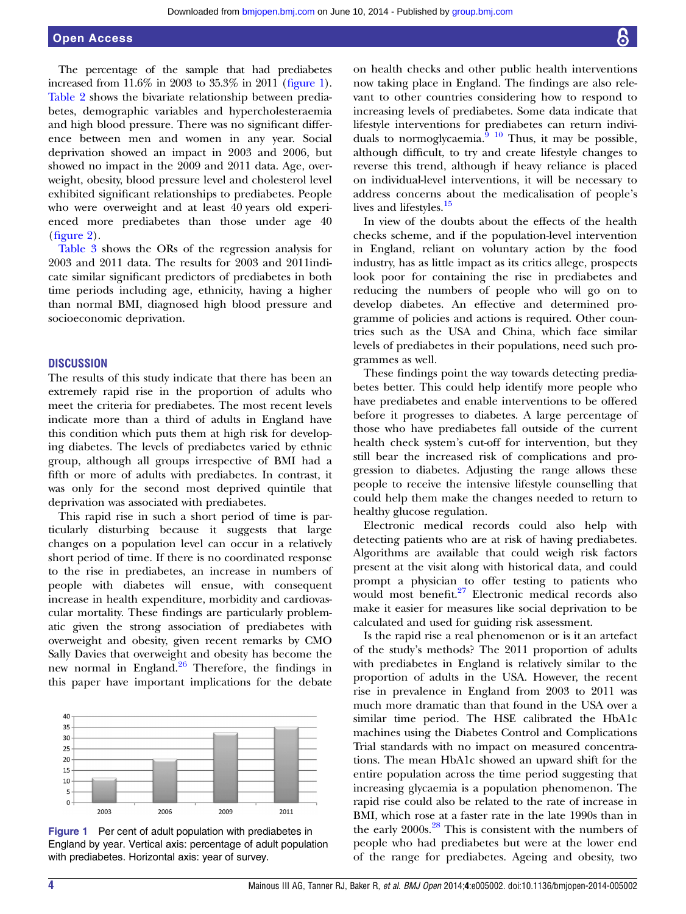# Open Access

The percentage of the sample that had prediabetes increased from 11.6% in 2003 to 35.3% in 2011 (figure 1). [Table 2](#page-4-0) shows the bivariate relationship between prediabetes, demographic variables and hypercholesteraemia and high blood pressure. There was no significant difference between men and women in any year. Social deprivation showed an impact in 2003 and 2006, but showed no impact in the 2009 and 2011 data. Age, overweight, obesity, blood pressure level and cholesterol level exhibited significant relationships to prediabetes. People who were overweight and at least 40 years old experienced more prediabetes than those under age 40 (fi[gure 2\)](#page-5-0).

[Table 3](#page-5-0) shows the ORs of the regression analysis for 2003 and 2011 data. The results for 2003 and 2011indicate similar significant predictors of prediabetes in both time periods including age, ethnicity, having a higher than normal BMI, diagnosed high blood pressure and socioeconomic deprivation.

#### **DISCUSSION**

The results of this study indicate that there has been an extremely rapid rise in the proportion of adults who meet the criteria for prediabetes. The most recent levels indicate more than a third of adults in England have this condition which puts them at high risk for developing diabetes. The levels of prediabetes varied by ethnic group, although all groups irrespective of BMI had a fifth or more of adults with prediabetes. In contrast, it was only for the second most deprived quintile that deprivation was associated with prediabetes.

This rapid rise in such a short period of time is particularly disturbing because it suggests that large changes on a population level can occur in a relatively short period of time. If there is no coordinated response to the rise in prediabetes, an increase in numbers of people with diabetes will ensue, with consequent increase in health expenditure, morbidity and cardiovascular mortality. These findings are particularly problematic given the strong association of prediabetes with overweight and obesity, given recent remarks by CMO Sally Davies that overweight and obesity has become the new normal in England.<sup>[26](#page-7-0)</sup> Therefore, the findings in this paper have important implications for the debate



Figure 1 Per cent of adult population with prediabetes in England by year. Vertical axis: percentage of adult population with prediabetes. Horizontal axis: year of survey.

on health checks and other public health interventions now taking place in England. The findings are also relevant to other countries considering how to respond to increasing levels of prediabetes. Some data indicate that lifestyle interventions for prediabetes can return individuals to normoglycaemia. $\frac{9}{9}$  10 Thus, it may be possible, although difficult, to try and create lifestyle changes to reverse this trend, although if heavy reliance is placed on individual-level interventions, it will be necessary to address concerns about the medicalisation of people's lives and lifestyles.<sup>[15](#page-6-0)</sup>

In view of the doubts about the effects of the health checks scheme, and if the population-level intervention in England, reliant on voluntary action by the food industry, has as little impact as its critics allege, prospects look poor for containing the rise in prediabetes and reducing the numbers of people who will go on to develop diabetes. An effective and determined programme of policies and actions is required. Other countries such as the USA and China, which face similar levels of prediabetes in their populations, need such programmes as well.

These findings point the way towards detecting prediabetes better. This could help identify more people who have prediabetes and enable interventions to be offered before it progresses to diabetes. A large percentage of those who have prediabetes fall outside of the current health check system's cut-off for intervention, but they still bear the increased risk of complications and progression to diabetes. Adjusting the range allows these people to receive the intensive lifestyle counselling that could help them make the changes needed to return to healthy glucose regulation.

Electronic medical records could also help with detecting patients who are at risk of having prediabetes. Algorithms are available that could weigh risk factors present at the visit along with historical data, and could prompt a physician to offer testing to patients who would most benefit.<sup>27</sup> Electronic medical records also make it easier for measures like social deprivation to be calculated and used for guiding risk assessment.

Is the rapid rise a real phenomenon or is it an artefact of the study's methods? The 2011 proportion of adults with prediabetes in England is relatively similar to the proportion of adults in the USA. However, the recent rise in prevalence in England from 2003 to 2011 was much more dramatic than that found in the USA over a similar time period. The HSE calibrated the HbA1c machines using the Diabetes Control and Complications Trial standards with no impact on measured concentrations. The mean HbA1c showed an upward shift for the entire population across the time period suggesting that increasing glycaemia is a population phenomenon. The rapid rise could also be related to the rate of increase in BMI, which rose at a faster rate in the late 1990s than in the early  $2000s$ .<sup>[28](#page-7-0)</sup> This is consistent with the numbers of people who had prediabetes but were at the lower end of the range for prediabetes. Ageing and obesity, two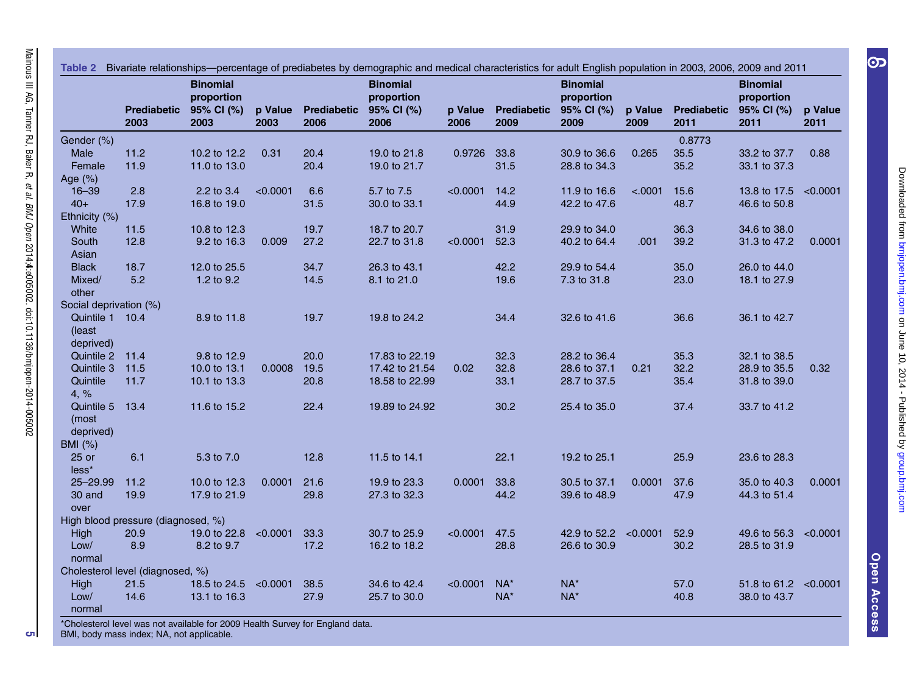<span id="page-4-0"></span>

| Table 2                | Bivariate relationships—percentage of prediabetes by demographic and medical characteristics for adult English population in 2003, 2006, 2009 and 2011 |                                                                 |                 |                     |                                                     |                 |                            |                                                     |                 |                            |                                                     |                 |
|------------------------|--------------------------------------------------------------------------------------------------------------------------------------------------------|-----------------------------------------------------------------|-----------------|---------------------|-----------------------------------------------------|-----------------|----------------------------|-----------------------------------------------------|-----------------|----------------------------|-----------------------------------------------------|-----------------|
|                        | <b>Prediabetic</b><br>2003                                                                                                                             | <b>Binomial</b><br>proportion<br>95% CI (%)<br>2003             | p Value<br>2003 | Prediabetic<br>2006 | <b>Binomial</b><br>proportion<br>95% CI (%)<br>2006 | p Value<br>2006 | <b>Prediabetic</b><br>2009 | <b>Binomial</b><br>proportion<br>95% CI (%)<br>2009 | p Value<br>2009 | <b>Prediabetic</b><br>2011 | <b>Binomial</b><br>proportion<br>95% CI (%)<br>2011 | p Value<br>2011 |
| Gender (%)             |                                                                                                                                                        |                                                                 |                 |                     |                                                     |                 |                            |                                                     |                 | 0.8773                     |                                                     |                 |
| Male                   | 11.2                                                                                                                                                   | 10.2 to 12.2                                                    | 0.31            | 20.4                | 19.0 to 21.8                                        | 0.9726          | 33.8                       | 30.9 to 36.6                                        | 0.265           | 35.5                       | 33.2 to 37.7                                        | 0.88            |
| Female                 | 11.9                                                                                                                                                   | 11.0 to 13.0                                                    |                 | 20.4                | 19.0 to 21.7                                        |                 | 31.5                       | 28.8 to 34.3                                        |                 | 35.2                       | 33.1 to 37.3                                        |                 |
| Age (%)                |                                                                                                                                                        |                                                                 |                 |                     |                                                     |                 |                            |                                                     |                 |                            |                                                     |                 |
| $16 - 39$              | 2.8                                                                                                                                                    | 2.2 to 3.4                                                      | < 0.0001        | 6.6                 | 5.7 to 7.5                                          | < 0.0001        | 14.2                       | 11.9 to 16.6                                        | < .0001         | 15.6                       | 13.8 to 17.5                                        | < 0.0001        |
| $40+$                  | 17.9                                                                                                                                                   | 16.8 to 19.0                                                    |                 | 31.5                | 30.0 to 33.1                                        |                 | 44.9                       | 42.2 to 47.6                                        |                 | 48.7                       | 46.6 to 50.8                                        |                 |
| Ethnicity (%)          |                                                                                                                                                        |                                                                 |                 |                     |                                                     |                 |                            |                                                     |                 |                            |                                                     |                 |
| White                  | 11.5                                                                                                                                                   | 10.8 to 12.3                                                    |                 | 19.7                | 18.7 to 20.7                                        |                 | 31.9                       | 29.9 to 34.0                                        |                 | 36.3                       | 34.6 to 38.0                                        |                 |
| South                  | 12.8                                                                                                                                                   | 9.2 to 16.3                                                     | 0.009           | 27.2                | 22.7 to 31.8                                        | < 0.0001        | 52.3                       | 40.2 to 64.4                                        | .001            | 39.2                       | 31.3 to 47.2                                        | 0.0001          |
| Asian                  |                                                                                                                                                        |                                                                 |                 |                     |                                                     |                 |                            |                                                     |                 |                            |                                                     |                 |
| <b>Black</b>           | 18.7                                                                                                                                                   | 12.0 to 25.5                                                    |                 | 34.7                | 26.3 to 43.1                                        |                 | 42.2                       | 29.9 to 54.4                                        |                 | 35.0                       | 26.0 to 44.0                                        |                 |
| Mixed/                 | 5.2                                                                                                                                                    | 1.2 to 9.2                                                      |                 | 14.5                | 8.1 to 21.0                                         |                 | 19.6                       | 7.3 to 31.8                                         |                 | 23.0                       | 18.1 to 27.9                                        |                 |
| other                  |                                                                                                                                                        |                                                                 |                 |                     |                                                     |                 |                            |                                                     |                 |                            |                                                     |                 |
| Social deprivation (%) |                                                                                                                                                        |                                                                 |                 |                     |                                                     |                 |                            |                                                     |                 |                            |                                                     |                 |
| Quintile 1 10.4        |                                                                                                                                                        | 8.9 to 11.8                                                     |                 | 19.7                | 19.8 to 24.2                                        |                 | 34.4                       | 32.6 to 41.6                                        |                 | 36.6                       | 36.1 to 42.7                                        |                 |
| (least)                |                                                                                                                                                        |                                                                 |                 |                     |                                                     |                 |                            |                                                     |                 |                            |                                                     |                 |
| deprived)              |                                                                                                                                                        |                                                                 |                 |                     |                                                     |                 |                            |                                                     |                 |                            |                                                     |                 |
| Quintile 2 11.4        |                                                                                                                                                        | 9.8 to 12.9                                                     |                 | 20.0                | 17.83 to 22.19                                      |                 | 32.3                       | 28.2 to 36.4                                        |                 | 35.3                       | 32.1 to 38.5                                        |                 |
| Quintile 3             | 11.5                                                                                                                                                   | 10.0 to 13.1                                                    | 0.0008          | 19.5                | 17.42 to 21.54                                      | 0.02            | 32.8                       | 28.6 to 37.1                                        | 0.21            | 32.2                       | 28.9 to 35.5                                        | 0.32            |
| Quintile               | 11.7                                                                                                                                                   | 10.1 to 13.3                                                    |                 | 20.8                | 18.58 to 22.99                                      |                 | 33.1                       | 28.7 to 37.5                                        |                 | 35.4                       | 31.8 to 39.0                                        |                 |
| $4, \%$                |                                                                                                                                                        |                                                                 |                 |                     |                                                     |                 |                            |                                                     |                 |                            |                                                     |                 |
| Quintile 5             | 13.4                                                                                                                                                   | 11.6 to 15.2                                                    |                 | 22.4                | 19.89 to 24.92                                      |                 | 30.2                       | 25.4 to 35.0                                        |                 | 37.4                       | 33.7 to 41.2                                        |                 |
| (most                  |                                                                                                                                                        |                                                                 |                 |                     |                                                     |                 |                            |                                                     |                 |                            |                                                     |                 |
| deprived)              |                                                                                                                                                        |                                                                 |                 |                     |                                                     |                 |                            |                                                     |                 |                            |                                                     |                 |
| BMI (%)                |                                                                                                                                                        |                                                                 |                 |                     |                                                     |                 |                            |                                                     |                 |                            |                                                     |                 |
| 25 or                  | 6.1                                                                                                                                                    | 5.3 to 7.0                                                      |                 | 12.8                | 11.5 to 14.1                                        |                 | 22.1                       | 19.2 to 25.1                                        |                 | 25.9                       | 23.6 to 28.3                                        |                 |
| less*                  |                                                                                                                                                        |                                                                 |                 |                     |                                                     |                 |                            |                                                     |                 |                            |                                                     |                 |
| 25-29.99               | 11.2                                                                                                                                                   | 10.0 to 12.3                                                    | 0.0001          | 21.6                | 19.9 to 23.3                                        | 0.0001          | 33.8                       | 30.5 to 37.1                                        | 0.0001          | 37.6                       | 35.0 to 40.3                                        | 0.0001          |
| 30 and                 | 19.9                                                                                                                                                   | 17.9 to 21.9                                                    |                 | 29.8                | 27.3 to 32.3                                        |                 | 44.2                       | 39.6 to 48.9                                        |                 | 47.9                       | 44.3 to 51.4                                        |                 |
| over                   |                                                                                                                                                        |                                                                 |                 |                     |                                                     |                 |                            |                                                     |                 |                            |                                                     |                 |
|                        | High blood pressure (diagnosed, %)                                                                                                                     |                                                                 |                 |                     |                                                     |                 |                            |                                                     |                 |                            |                                                     |                 |
| High                   | 20.9                                                                                                                                                   | 19.0 to 22.8                                                    | < 0.0001        | 33.3                | 30.7 to 25.9                                        | < 0.0001        | 47.5                       | 42.9 to 52.2 $< 0.0001$                             |                 | 52.9                       | 49.6 to 56.3                                        | < 0.0001        |
| Low/                   | 8.9                                                                                                                                                    | 8.2 to 9.7                                                      |                 | 17.2                | 16.2 to 18.2                                        |                 | 28.8                       | 26.6 to 30.9                                        |                 | 30.2                       | 28.5 to 31.9                                        |                 |
| normal                 |                                                                                                                                                        |                                                                 |                 |                     |                                                     |                 |                            |                                                     |                 |                            |                                                     |                 |
|                        | Cholesterol level (diagnosed, %)                                                                                                                       |                                                                 |                 |                     |                                                     |                 |                            |                                                     |                 |                            |                                                     |                 |
| High                   | 21.5                                                                                                                                                   | 18.5 to 24.5                                                    | < 0.0001        | 38.5                | 34.6 to 42.4                                        | < 0.0001        | $NA^*$                     | $NA^*$                                              |                 | 57.0                       | 51.8 to 61.2 < 0.0001                               |                 |
| Low/                   | 14.6                                                                                                                                                   | 13.1 to 16.3                                                    |                 | 27.9                | 25.7 to 30.0                                        |                 | NA*                        | NA*                                                 |                 | 40.8                       | 38.0 to 43.7                                        |                 |
| normal                 |                                                                                                                                                        | $\mathbf{u}$ and $\mathbf{v}$ and $\mathbf{v}$ and $\mathbf{v}$ |                 |                     |                                                     |                 |                            |                                                     |                 |                            |                                                     |                 |

\*Cholesterol level was not available for 2009 Health Survey for England data.

BMI, body mass index; NA, not applicable.

ප

**Open Access** Open Access

Downloaded the first one of the 10, 2014 - Published by [group.bmj.com](http://group.bmj.com/)Downloaded from the  $\alpha$ 

Downloaded from bmjopen.bmj.com on June 10, 2014 - Published by group.bmj.com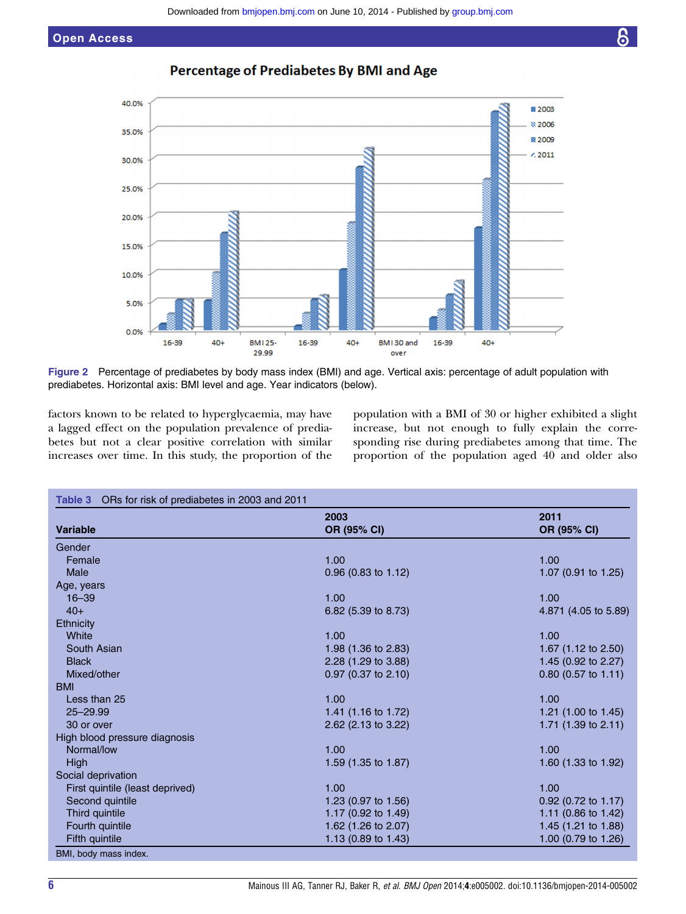<span id="page-5-0"></span>Open Access



# **Percentage of Prediabetes By BMI and Age**

Figure 2 Percentage of prediabetes by body mass index (BMI) and age. Vertical axis: percentage of adult population with prediabetes. Horizontal axis: BMI level and age. Year indicators (below).

factors known to be related to hyperglycaemia, may have a lagged effect on the population prevalence of prediabetes but not a clear positive correlation with similar increases over time. In this study, the proportion of the

population with a BMI of 30 or higher exhibited a slight increase, but not enough to fully explain the corresponding rise during prediabetes among that time. The proportion of the population aged 40 and older also

|                                 | 2003                           | 2011                           |  |
|---------------------------------|--------------------------------|--------------------------------|--|
| <b>Variable</b>                 | OR (95% CI)                    | OR (95% CI)                    |  |
| Gender                          |                                |                                |  |
| Female                          | 1.00                           | 1.00                           |  |
| Male                            | $0.96$ (0.83 to 1.12)          | 1.07 (0.91 to 1.25)            |  |
| Age, years                      |                                |                                |  |
| $16 - 39$                       | 1.00                           | 1.00                           |  |
| $40+$                           | 6.82 (5.39 to 8.73)            | 4.871 (4.05 to 5.89)           |  |
| <b>Ethnicity</b>                |                                |                                |  |
| White                           | 1.00                           | 1.00                           |  |
| South Asian                     | 1.98 (1.36 to 2.83)            | 1.67 (1.12 to 2.50)            |  |
| <b>Black</b>                    | 2.28 (1.29 to 3.88)            | 1.45 (0.92 to 2.27)            |  |
| Mixed/other                     | $0.97$ (0.37 to 2.10)          | 0.80 (0.57 to 1.11)            |  |
| <b>BMI</b>                      |                                |                                |  |
| Less than 25                    | 1.00                           | 1.00                           |  |
| $25 - 29.99$                    | 1.41 $(1.16 \text{ to } 1.72)$ | 1.21 $(1.00 \text{ to } 1.45)$ |  |
| 30 or over                      | 2.62 (2.13 to 3.22)            | 1.71 $(1.39 \text{ to } 2.11)$ |  |
| High blood pressure diagnosis   |                                |                                |  |
| Normal/low                      | 1.00                           | 1.00                           |  |
| <b>High</b>                     | 1.59 (1.35 to 1.87)            | 1.60 (1.33 to 1.92)            |  |
| Social deprivation              |                                |                                |  |
| First quintile (least deprived) | 1.00                           | 1.00                           |  |
| Second quintile                 | 1.23 (0.97 to 1.56)            | 0.92 (0.72 to 1.17)            |  |
| Third quintile                  | 1.17 (0.92 to 1.49)            | 1.11 (0.86 to 1.42)            |  |
| Fourth quintile                 | 1.62 (1.26 to 2.07)            | 1.45 (1.21 to 1.88)            |  |
| Fifth quintile                  | 1.13 $(0.89 \text{ to } 1.43)$ | 1.00 (0.79 to 1.26)            |  |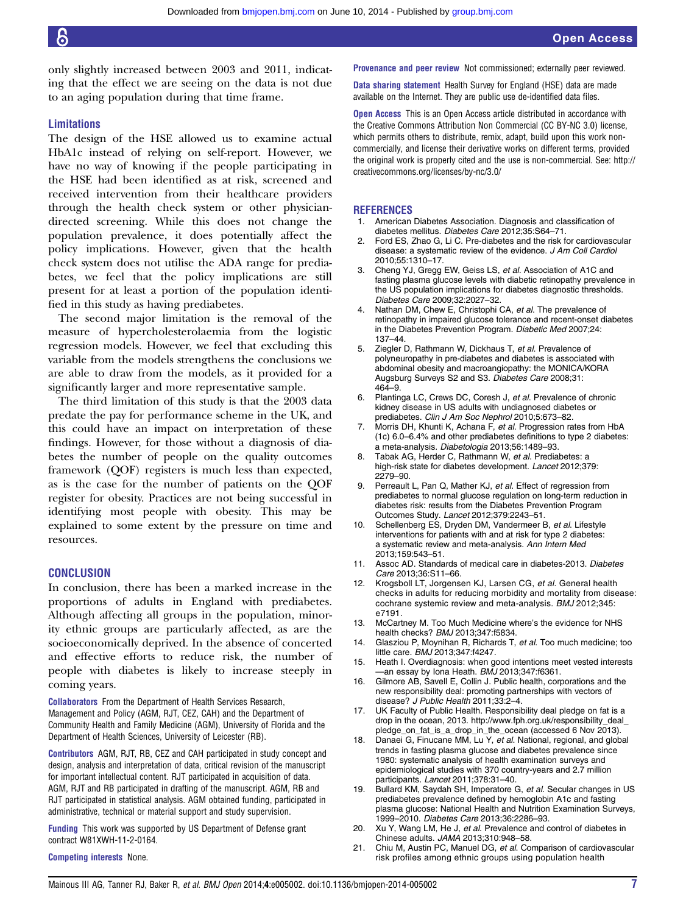<span id="page-6-0"></span>only slightly increased between 2003 and 2011, indicating that the effect we are seeing on the data is not due to an aging population during that time frame.

## **Limitations**

The design of the HSE allowed us to examine actual HbA1c instead of relying on self-report. However, we have no way of knowing if the people participating in the HSE had been identified as at risk, screened and received intervention from their healthcare providers through the health check system or other physiciandirected screening. While this does not change the population prevalence, it does potentially affect the policy implications. However, given that the health check system does not utilise the ADA range for prediabetes, we feel that the policy implications are still present for at least a portion of the population identified in this study as having prediabetes.

The second major limitation is the removal of the measure of hypercholesterolaemia from the logistic regression models. However, we feel that excluding this variable from the models strengthens the conclusions we are able to draw from the models, as it provided for a significantly larger and more representative sample.

The third limitation of this study is that the 2003 data predate the pay for performance scheme in the UK, and this could have an impact on interpretation of these findings. However, for those without a diagnosis of diabetes the number of people on the quality outcomes framework (QOF) registers is much less than expected, as is the case for the number of patients on the QOF register for obesity. Practices are not being successful in identifying most people with obesity. This may be explained to some extent by the pressure on time and resources.

## **CONCLUSION**

In conclusion, there has been a marked increase in the proportions of adults in England with prediabetes. Although affecting all groups in the population, minority ethnic groups are particularly affected, as are the socioeconomically deprived. In the absence of concerted and effective efforts to reduce risk, the number of people with diabetes is likely to increase steeply in coming years.

Collaborators From the Department of Health Services Research, Management and Policy (AGM, RJT, CEZ, CAH) and the Department of Community Health and Family Medicine (AGM), University of Florida and the Department of Health Sciences, University of Leicester (RB).

Contributors AGM, RJT, RB, CEZ and CAH participated in study concept and design, analysis and interpretation of data, critical revision of the manuscript for important intellectual content. RJT participated in acquisition of data. AGM, RJT and RB participated in drafting of the manuscript. AGM, RB and RJT participated in statistical analysis. AGM obtained funding, participated in administrative, technical or material support and study supervision.

Funding This work was supported by US Department of Defense grant contract W81XWH-11-2-0164.

Competing interests None.

Provenance and peer review Not commissioned; externally peer reviewed.

Data sharing statement Health Survey for England (HSE) data are made available on the Internet. They are public use de-identified data files.

Open Access This is an Open Access article distributed in accordance with the Creative Commons Attribution Non Commercial (CC BY-NC 3.0) license, which permits others to distribute, remix, adapt, build upon this work noncommercially, and license their derivative works on different terms, provided the original work is properly cited and the use is non-commercial. See: [http://](http://creativecommons.org/licenses/by-nc/3.0/) [creativecommons.org/licenses/by-nc/3.0/](http://creativecommons.org/licenses/by-nc/3.0/)

#### **REFERENCES**

- 1. American Diabetes Association. Diagnosis and classification of diabetes mellitus. Diabetes Care 2012;35:S64–71.
- 2. Ford ES, Zhao G, Li C. Pre-diabetes and the risk for cardiovascular disease: a systematic review of the evidence. J Am Coll Cardiol 2010;55:1310–17.
- 3. Cheng YJ, Gregg EW, Geiss LS, et al. Association of A1C and fasting plasma glucose levels with diabetic retinopathy prevalence in the US population implications for diabetes diagnostic thresholds. Diabetes Care 2009;32:2027–32.
- 4. Nathan DM, Chew E, Christophi CA, et al. The prevalence of retinopathy in impaired glucose tolerance and recent-onset diabetes in the Diabetes Prevention Program. Diabetic Med 2007;24: 137–44.
- 5. Ziegler D, Rathmann W, Dickhaus T, et al. Prevalence of polyneuropathy in pre-diabetes and diabetes is associated with abdominal obesity and macroangiopathy: the MONICA/KORA Augsburg Surveys S2 and S3. Diabetes Care 2008;31: 464–9.
- 6. Plantinga LC, Crews DC, Coresh J, et al. Prevalence of chronic kidney disease in US adults with undiagnosed diabetes or prediabetes. Clin J Am Soc Nephrol 2010;5:673–82.
- 7. Morris DH, Khunti K, Achana F, et al. Progression rates from HbA (1c) 6.0–6.4% and other prediabetes definitions to type 2 diabetes: a meta-analysis. Diabetologia 2013;56:1489–93.
- Tabak AG, Herder C, Rathmann W, et al. Prediabetes: a high-risk state for diabetes development. Lancet 2012;379: 2279–90.
- 9. Perreault L, Pan Q, Mather KJ, et al. Effect of regression from prediabetes to normal glucose regulation on long-term reduction in diabetes risk: results from the Diabetes Prevention Program Outcomes Study. Lancet 2012;379:2243–51.
- 10. Schellenberg ES, Dryden DM, Vandermeer B, et al. Lifestyle interventions for patients with and at risk for type 2 diabetes: a systematic review and meta-analysis. Ann Intern Med 2013;159:543–51.
- 11. Assoc AD. Standards of medical care in diabetes-2013. Diabetes Care 2013;36:S11–66.
- 12. Krogsboll LT, Jorgensen KJ, Larsen CG, et al. General health checks in adults for reducing morbidity and mortality from disease: cochrane systemic review and meta-analysis. BMJ 2012;345: e7191.
- 13. McCartney M. Too Much Medicine where's the evidence for NHS health checks? BMJ 2013;347:f5834.
- 14. Glasziou P, Moynihan R, Richards T, et al. Too much medicine; too little care. BMJ 2013;347:f4247.
- 15. Heath I. Overdiagnosis: when good intentions meet vested interests  $-$ an essay by Iona Heath.  $BMJ$  2013;347:f6361.
- 16. Gilmore AB, Savell E, Collin J. Public health, corporations and the new responsibility deal: promoting partnerships with vectors of disease? J Public Health 2011;33:2–4.
- 17. UK Faculty of Public Health. Responsibility deal pledge on fat is a drop in the ocean, 2013. [http://www.fph.org.uk/responsibility\\_deal\\_](http://www.fph.org.uk/responsibility_deal_pledge_on_fat_is_a_drop_in_the_ocean) [pledge\\_on\\_fat\\_is\\_a\\_drop\\_in\\_the\\_ocean](http://www.fph.org.uk/responsibility_deal_pledge_on_fat_is_a_drop_in_the_ocean) (accessed 6 Nov 2013).
- 18. Danaei G, Finucane MM, Lu Y, et al. National, regional, and global trends in fasting plasma glucose and diabetes prevalence since 1980: systematic analysis of health examination surveys and epidemiological studies with 370 country-years and 2.7 million participants. Lancet 2011;378:31–40.
- 19. Bullard KM, Saydah SH, Imperatore G, et al. Secular changes in US prediabetes prevalence defined by hemoglobin A1c and fasting plasma glucose: National Health and Nutrition Examination Surveys, 1999–2010. Diabetes Care 2013;36:2286–93.
- 20. Xu Y, Wang LM, He J, et al. Prevalence and control of diabetes in Chinese adults. JAMA 2013;310:948–58.
- 21. Chiu M, Austin PC, Manuel DG, et al. Comparison of cardiovascular risk profiles among ethnic groups using population health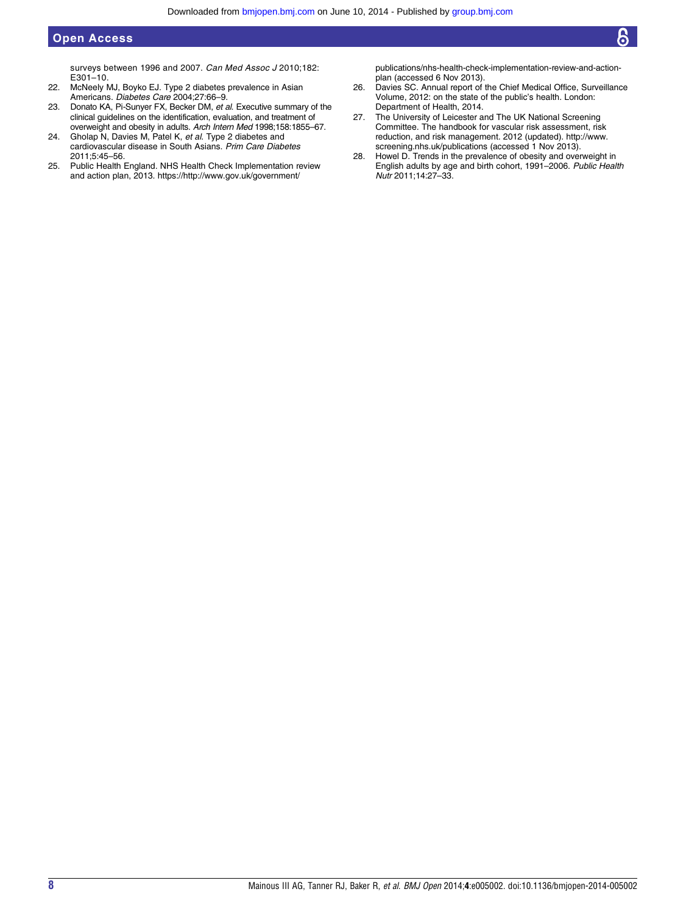<span id="page-7-0"></span>surveys between 1996 and 2007. Can Med Assoc J 2010;182: E301–10.

- 22. McNeely MJ, Boyko EJ. Type 2 diabetes prevalence in Asian Americans. Diabetes Care 2004;27:66–9.
- 23. Donato KA, Pi-Sunyer FX, Becker DM, et al. Executive summary of the clinical guidelines on the identification, evaluation, and treatment of overweight and obesity in adults. Arch Intern Med 1998;158:1855–67.
- 24. Gholap N, Davies M, Patel K, et al. Type 2 diabetes and cardiovascular disease in South Asians. Prim Care Diabetes 2011;5:45–56.
- 25. Public Health England. NHS Health Check Implementation review and action plan, 2013. [https://http://www.gov.uk/government/](https://http://www.gov.uk/government/publications/nhs-health-check-implementation-review-and-action-plan)

[publications/nhs-health-check-implementation-review-and-action](https://http://www.gov.uk/government/publications/nhs-health-check-implementation-review-and-action-plan)[plan](https://http://www.gov.uk/government/publications/nhs-health-check-implementation-review-and-action-plan) (accessed 6 Nov 2013).

- 26. Davies SC. Annual report of the Chief Medical Office, Surveillance Volume, 2012: on the state of the public's health. London: Department of Health, 2014.
- 27. The University of Leicester and The UK National Screening Committee. The handbook for vascular risk assessment, risk reduction, and risk management. 2012 (updated). [http://www.](http://www.screening.nhs.uk/publications) [screening.nhs.uk/publications](http://www.screening.nhs.uk/publications) (accessed 1 Nov 2013).
- 28. Howel D. Trends in the prevalence of obesity and overweight in English adults by age and birth cohort, 1991–2006. Public Health Nutr 2011;14:27–33.